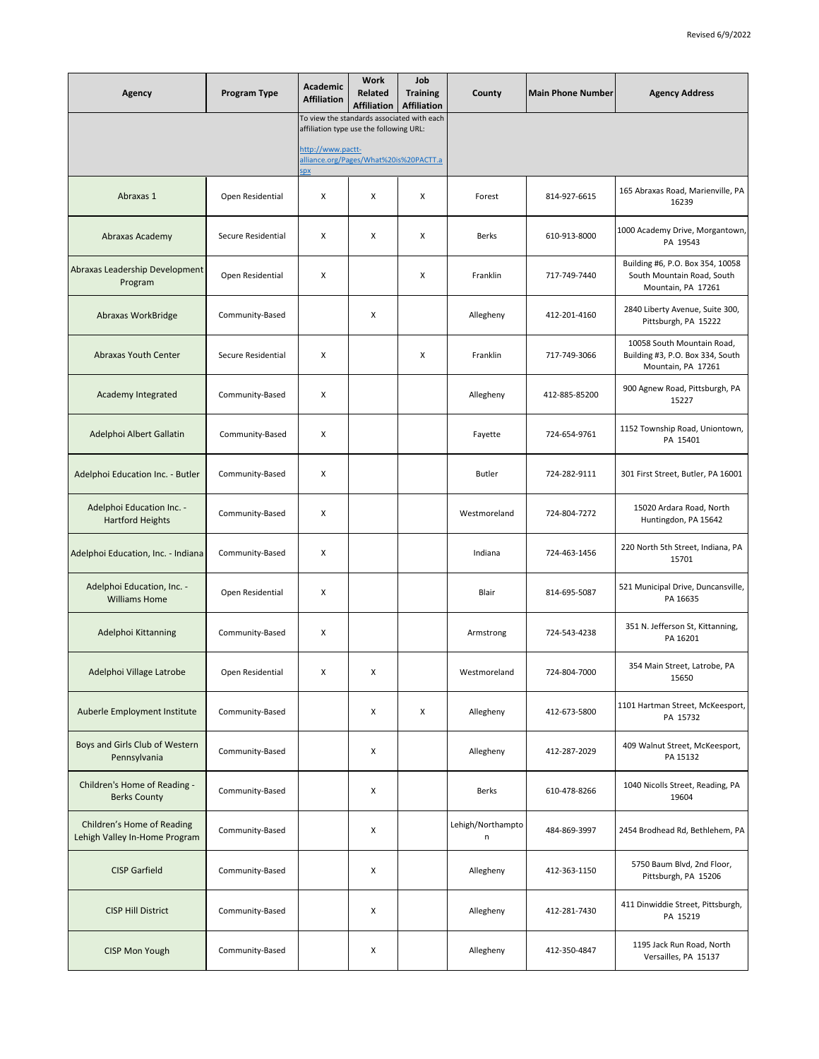| Agency                                                      | Program Type       | Academic<br><b>Affiliation</b>                                                                                                                                    | <b>Work</b><br>Related<br><b>Affiliation</b> | Job<br><b>Training</b><br><b>Affiliation</b> | County                 | <b>Main Phone Number</b> | <b>Agency Address</b>                                                                |
|-------------------------------------------------------------|--------------------|-------------------------------------------------------------------------------------------------------------------------------------------------------------------|----------------------------------------------|----------------------------------------------|------------------------|--------------------------|--------------------------------------------------------------------------------------|
|                                                             |                    | To view the standards associated with each<br>affiliation type use the following URL:<br>http://www.pactt-<br>alliance.org/Pages/What%20is%20PACTT.a<br><u>px</u> |                                              |                                              |                        |                          |                                                                                      |
| Abraxas 1                                                   | Open Residential   | х                                                                                                                                                                 | X                                            | X                                            | Forest                 | 814-927-6615             | 165 Abraxas Road, Marienville, PA<br>16239                                           |
| Abraxas Academy                                             | Secure Residential | x                                                                                                                                                                 | X                                            | X                                            | Berks                  | 610-913-8000             | 1000 Academy Drive, Morgantown,<br>PA 19543                                          |
| Abraxas Leadership Development<br>Program                   | Open Residential   | x                                                                                                                                                                 |                                              | X                                            | Franklin               | 717-749-7440             | Building #6, P.O. Box 354, 10058<br>South Mountain Road, South<br>Mountain, PA 17261 |
| Abraxas WorkBridge                                          | Community-Based    |                                                                                                                                                                   | х                                            |                                              | Allegheny              | 412-201-4160             | 2840 Liberty Avenue, Suite 300,<br>Pittsburgh, PA 15222                              |
| Abraxas Youth Center                                        | Secure Residential | x                                                                                                                                                                 |                                              | X                                            | Franklin               | 717-749-3066             | 10058 South Mountain Road,<br>Building #3, P.O. Box 334, South<br>Mountain, PA 17261 |
| Academy Integrated                                          | Community-Based    | х                                                                                                                                                                 |                                              |                                              | Allegheny              | 412-885-85200            | 900 Agnew Road, Pittsburgh, PA<br>15227                                              |
| Adelphoi Albert Gallatin                                    | Community-Based    | x                                                                                                                                                                 |                                              |                                              | Fayette                | 724-654-9761             | 1152 Township Road, Uniontown,<br>PA 15401                                           |
| Adelphoi Education Inc. - Butler                            | Community-Based    | х                                                                                                                                                                 |                                              |                                              | <b>Butler</b>          | 724-282-9111             | 301 First Street, Butler, PA 16001                                                   |
| Adelphoi Education Inc. -<br><b>Hartford Heights</b>        | Community-Based    | x                                                                                                                                                                 |                                              |                                              | Westmoreland           | 724-804-7272             | 15020 Ardara Road, North<br>Huntingdon, PA 15642                                     |
| Adelphoi Education, Inc. - Indiana                          | Community-Based    | x                                                                                                                                                                 |                                              |                                              | Indiana                | 724-463-1456             | 220 North 5th Street, Indiana, PA<br>15701                                           |
| Adelphoi Education, Inc. -<br><b>Williams Home</b>          | Open Residential   | X                                                                                                                                                                 |                                              |                                              | Blair                  | 814-695-5087             | 521 Municipal Drive, Duncansville,<br>PA 16635                                       |
| Adelphoi Kittanning                                         | Community-Based    | х                                                                                                                                                                 |                                              |                                              | Armstrong              | 724-543-4238             | 351 N. Jefferson St, Kittanning,<br>PA 16201                                         |
| Adelphoi Village Latrobe                                    | Open Residential   | x                                                                                                                                                                 |                                              |                                              | Westmoreland           | 724-804-7000             | 354 Main Street, Latrobe, PA<br>15650                                                |
| Auberle Employment Institute                                | Community-Based    |                                                                                                                                                                   | X                                            | X                                            | Allegheny              | 412-673-5800             | 1101 Hartman Street, McKeesport,<br>PA 15732                                         |
| Boys and Girls Club of Western<br>Pennsylvania              | Community-Based    |                                                                                                                                                                   | X                                            |                                              | Allegheny              | 412-287-2029             | 409 Walnut Street, McKeesport,<br>PA 15132                                           |
| Children's Home of Reading -<br><b>Berks County</b>         | Community-Based    |                                                                                                                                                                   | х                                            |                                              | Berks                  | 610-478-8266             | 1040 Nicolls Street, Reading, PA<br>19604                                            |
| Children's Home of Reading<br>Lehigh Valley In-Home Program | Community-Based    |                                                                                                                                                                   | х                                            |                                              | Lehigh/Northampto<br>n | 484-869-3997             | 2454 Brodhead Rd, Bethlehem, PA                                                      |
| <b>CISP Garfield</b>                                        | Community-Based    |                                                                                                                                                                   | х                                            |                                              | Allegheny              | 412-363-1150             | 5750 Baum Blvd, 2nd Floor,<br>Pittsburgh, PA 15206                                   |
| <b>CISP Hill District</b>                                   | Community-Based    |                                                                                                                                                                   | х                                            |                                              | Allegheny              | 412-281-7430             | 411 Dinwiddie Street, Pittsburgh,<br>PA 15219                                        |
| <b>CISP Mon Yough</b>                                       | Community-Based    |                                                                                                                                                                   | х                                            |                                              | Allegheny              | 412-350-4847             | 1195 Jack Run Road, North<br>Versailles, PA 15137                                    |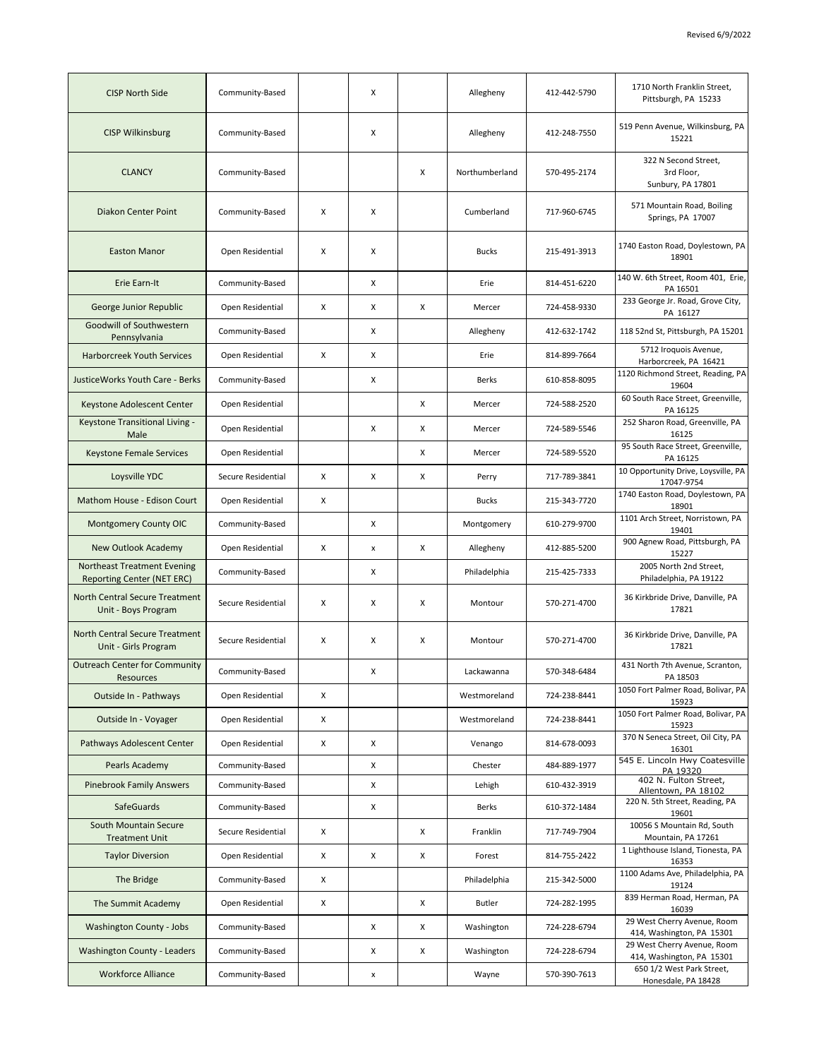| X<br><b>CISP Wilkinsburg</b><br>Community-Based<br>Allegheny<br>412-248-7550<br>15221<br>322 N Second Street,<br>x<br><b>CLANCY</b><br>Community-Based<br>Northumberland<br>570-495-2174<br>3rd Floor,<br>Sunbury, PA 17801<br>571 Mountain Road, Boiling<br><b>Diakon Center Point</b><br>х<br>X<br>Community-Based<br>Cumberland<br>717-960-6745<br>Springs, PA 17007<br><b>Easton Manor</b><br>X<br>215-491-3913<br>Open Residential<br>х<br>Bucks<br>18901<br>Erie Earn-It<br>X<br>814-451-6220<br>Community-Based<br>Erie<br>PA 16501<br>233 George Jr. Road, Grove City,<br>X<br>Х<br>X<br>724-458-9330<br>George Junior Republic<br>Open Residential<br>Mercer<br>PA 16127<br>Goodwill of Southwestern<br>X<br>118 52nd St, Pittsburgh, PA 15201<br>Community-Based<br>Allegheny<br>412-632-1742<br>Pennsylvania<br>5712 Iroquois Avenue,<br>X<br><b>Harborcreek Youth Services</b><br>Open Residential<br>Χ<br>Erie<br>814-899-7664<br>Harborcreek, PA 16421<br><b>JusticeWorks Youth Care - Berks</b><br>X<br>Community-Based<br>Berks<br>610-858-8095<br>19604<br>60 South Race Street, Greenville,<br>Open Residential<br>x<br>724-588-2520<br>Keystone Adolescent Center<br>Mercer<br>PA 16125<br>252 Sharon Road, Greenville, PA<br>Keystone Transitional Living -<br>X<br>x<br>724-589-5546<br>Open Residential<br>Mercer<br>16125<br>Male<br>95 South Race Street, Greenville,<br>x<br>724-589-5520<br><b>Keystone Female Services</b><br>Open Residential<br>Mercer<br>PA 16125<br>Loysville YDC<br>Secure Residential<br>Х<br>X<br>x<br>717-789-3841<br>Perry<br>17047-9754<br>Mathom House - Edison Court<br>215-343-7720<br>Open Residential<br>х<br><b>Bucks</b><br>18901<br>1101 Arch Street, Norristown, PA<br>Montgomery County OIC<br>Community-Based<br>Χ<br>Montgomery<br>610-279-9700<br>19401<br>900 Agnew Road, Pittsburgh, PA<br>Х<br>x<br>New Outlook Academy<br>Open Residential<br>$\pmb{\times}$<br>Allegheny<br>412-885-5200<br>15227<br>2005 North 2nd Street,<br><b>Northeast Treatment Evening</b><br>X<br>Philadelphia<br>Community-Based<br>215-425-7333<br>Reporting Center (NET ERC)<br>Philadelphia, PA 19122<br>North Central Secure Treatment<br>36 Kirkbride Drive, Danville, PA<br>х<br>X<br>x<br>Secure Residential<br>570-271-4700<br>Montour<br>17821<br>Unit - Boys Program<br>North Central Secure Treatment<br>36 Kirkbride Drive, Danville, PA<br>X<br>Secure Residential<br>Х<br>Χ<br>Montour<br>570-271-4700<br>17821<br>Unit - Girls Program<br><b>Outreach Center for Community</b><br>431 North 7th Avenue, Scranton,<br>570-348-6484<br>X<br>Community-Based<br>Lackawanna<br>PA 18503<br>Resources<br>Outside In - Pathways<br>X<br>Westmoreland<br>724-238-8441<br>Open Residential<br>15923<br>X<br>724-238-8441<br>Outside In - Voyager<br>Open Residential<br>Westmoreland<br>15923<br>370 N Seneca Street, Oil City, PA<br>Pathways Adolescent Center<br>Open Residential<br>X<br>X<br>814-678-0093<br>Venango<br>16301<br>Community-Based<br>X<br>Chester<br>484-889-1977<br>Pearls Academy<br>PA 19320<br>402 N. Fulton Street,<br>Community-Based<br>X<br>Lehigh<br>610-432-3919<br><b>Pinebrook Family Answers</b><br>Allentown, PA 18102<br>220 N. 5th Street, Reading, PA<br><b>SafeGuards</b><br>Community-Based<br>X<br>Berks<br>610-372-1484<br>19601<br>South Mountain Secure<br>10056 S Mountain Rd, South<br>Secure Residential<br>X<br>x<br>Franklin<br>717-749-7904<br>Mountain, PA 17261<br><b>Treatment Unit</b><br>1 Lighthouse Island, Tionesta, PA<br>X<br><b>Taylor Diversion</b><br>Open Residential<br>X<br>x<br>814-755-2422<br>Forest<br>16353<br>1100 Adams Ave, Philadelphia, PA<br>Community-Based<br>X<br>Philadelphia<br>215-342-5000<br>The Bridge<br>19124<br>839 Herman Road, Herman, PA<br>The Summit Academy<br>Open Residential<br>X<br>x<br><b>Butler</b><br>724-282-1995<br>16039<br>29 West Cherry Avenue, Room<br>Washington County - Jobs<br>Community-Based<br>x<br>x<br>Washington<br>724-228-6794<br>414, Washington, PA 15301<br>29 West Cherry Avenue, Room<br>Community-Based<br>x<br>x<br>Washington<br>724-228-6794<br><b>Washington County - Leaders</b><br>414, Washington, PA 15301<br>650 1/2 West Park Street,<br><b>Workforce Alliance</b><br>Community-Based<br>Wayne<br>570-390-7613<br>x<br>Honesdale, PA 18428 | <b>CISP North Side</b> | Community-Based | X | Allegheny | 412-442-5790 | 1710 North Franklin Street,<br>Pittsburgh, PA 15233 |
|--------------------------------------------------------------------------------------------------------------------------------------------------------------------------------------------------------------------------------------------------------------------------------------------------------------------------------------------------------------------------------------------------------------------------------------------------------------------------------------------------------------------------------------------------------------------------------------------------------------------------------------------------------------------------------------------------------------------------------------------------------------------------------------------------------------------------------------------------------------------------------------------------------------------------------------------------------------------------------------------------------------------------------------------------------------------------------------------------------------------------------------------------------------------------------------------------------------------------------------------------------------------------------------------------------------------------------------------------------------------------------------------------------------------------------------------------------------------------------------------------------------------------------------------------------------------------------------------------------------------------------------------------------------------------------------------------------------------------------------------------------------------------------------------------------------------------------------------------------------------------------------------------------------------------------------------------------------------------------------------------------------------------------------------------------------------------------------------------------------------------------------------------------------------------------------------------------------------------------------------------------------------------------------------------------------------------------------------------------------------------------------------------------------------------------------------------------------------------------------------------------------------------------------------------------------------------------------------------------------------------------------------------------------------------------------------------------------------------------------------------------------------------------------------------------------------------------------------------------------------------------------------------------------------------------------------------------------------------------------------------------------------------------------------------------------------------------------------------------------------------------------------------------------------------------------------------------------------------------------------------------------------------------------------------------------------------------------------------------------------------------------------------------------------------------------------------------------------------------------------------------------------------------------------------------------------------------------------------------------------------------------------------------------------------------------------------------------------------------------------------------------------------------------------------------------------------------------------------------------------------------------------------------------------------------------------------------------------------------------------------------------------------------------------------------------------------------------------------------------------------------------------------------------------------------------------------------------------------------------------------------------------------------------------------------------------------------------------|------------------------|-----------------|---|-----------|--------------|-----------------------------------------------------|
|                                                                                                                                                                                                                                                                                                                                                                                                                                                                                                                                                                                                                                                                                                                                                                                                                                                                                                                                                                                                                                                                                                                                                                                                                                                                                                                                                                                                                                                                                                                                                                                                                                                                                                                                                                                                                                                                                                                                                                                                                                                                                                                                                                                                                                                                                                                                                                                                                                                                                                                                                                                                                                                                                                                                                                                                                                                                                                                                                                                                                                                                                                                                                                                                                                                                                                                                                                                                                                                                                                                                                                                                                                                                                                                                                                                                                                                                                                                                                                                                                                                                                                                                                                                                                                                                                                                                            |                        |                 |   |           |              | 519 Penn Avenue, Wilkinsburg, PA                    |
|                                                                                                                                                                                                                                                                                                                                                                                                                                                                                                                                                                                                                                                                                                                                                                                                                                                                                                                                                                                                                                                                                                                                                                                                                                                                                                                                                                                                                                                                                                                                                                                                                                                                                                                                                                                                                                                                                                                                                                                                                                                                                                                                                                                                                                                                                                                                                                                                                                                                                                                                                                                                                                                                                                                                                                                                                                                                                                                                                                                                                                                                                                                                                                                                                                                                                                                                                                                                                                                                                                                                                                                                                                                                                                                                                                                                                                                                                                                                                                                                                                                                                                                                                                                                                                                                                                                                            |                        |                 |   |           |              |                                                     |
|                                                                                                                                                                                                                                                                                                                                                                                                                                                                                                                                                                                                                                                                                                                                                                                                                                                                                                                                                                                                                                                                                                                                                                                                                                                                                                                                                                                                                                                                                                                                                                                                                                                                                                                                                                                                                                                                                                                                                                                                                                                                                                                                                                                                                                                                                                                                                                                                                                                                                                                                                                                                                                                                                                                                                                                                                                                                                                                                                                                                                                                                                                                                                                                                                                                                                                                                                                                                                                                                                                                                                                                                                                                                                                                                                                                                                                                                                                                                                                                                                                                                                                                                                                                                                                                                                                                                            |                        |                 |   |           |              |                                                     |
|                                                                                                                                                                                                                                                                                                                                                                                                                                                                                                                                                                                                                                                                                                                                                                                                                                                                                                                                                                                                                                                                                                                                                                                                                                                                                                                                                                                                                                                                                                                                                                                                                                                                                                                                                                                                                                                                                                                                                                                                                                                                                                                                                                                                                                                                                                                                                                                                                                                                                                                                                                                                                                                                                                                                                                                                                                                                                                                                                                                                                                                                                                                                                                                                                                                                                                                                                                                                                                                                                                                                                                                                                                                                                                                                                                                                                                                                                                                                                                                                                                                                                                                                                                                                                                                                                                                                            |                        |                 |   |           |              | 1740 Easton Road, Doylestown, PA                    |
|                                                                                                                                                                                                                                                                                                                                                                                                                                                                                                                                                                                                                                                                                                                                                                                                                                                                                                                                                                                                                                                                                                                                                                                                                                                                                                                                                                                                                                                                                                                                                                                                                                                                                                                                                                                                                                                                                                                                                                                                                                                                                                                                                                                                                                                                                                                                                                                                                                                                                                                                                                                                                                                                                                                                                                                                                                                                                                                                                                                                                                                                                                                                                                                                                                                                                                                                                                                                                                                                                                                                                                                                                                                                                                                                                                                                                                                                                                                                                                                                                                                                                                                                                                                                                                                                                                                                            |                        |                 |   |           |              | 140 W. 6th Street, Room 401, Erie,                  |
|                                                                                                                                                                                                                                                                                                                                                                                                                                                                                                                                                                                                                                                                                                                                                                                                                                                                                                                                                                                                                                                                                                                                                                                                                                                                                                                                                                                                                                                                                                                                                                                                                                                                                                                                                                                                                                                                                                                                                                                                                                                                                                                                                                                                                                                                                                                                                                                                                                                                                                                                                                                                                                                                                                                                                                                                                                                                                                                                                                                                                                                                                                                                                                                                                                                                                                                                                                                                                                                                                                                                                                                                                                                                                                                                                                                                                                                                                                                                                                                                                                                                                                                                                                                                                                                                                                                                            |                        |                 |   |           |              |                                                     |
|                                                                                                                                                                                                                                                                                                                                                                                                                                                                                                                                                                                                                                                                                                                                                                                                                                                                                                                                                                                                                                                                                                                                                                                                                                                                                                                                                                                                                                                                                                                                                                                                                                                                                                                                                                                                                                                                                                                                                                                                                                                                                                                                                                                                                                                                                                                                                                                                                                                                                                                                                                                                                                                                                                                                                                                                                                                                                                                                                                                                                                                                                                                                                                                                                                                                                                                                                                                                                                                                                                                                                                                                                                                                                                                                                                                                                                                                                                                                                                                                                                                                                                                                                                                                                                                                                                                                            |                        |                 |   |           |              |                                                     |
|                                                                                                                                                                                                                                                                                                                                                                                                                                                                                                                                                                                                                                                                                                                                                                                                                                                                                                                                                                                                                                                                                                                                                                                                                                                                                                                                                                                                                                                                                                                                                                                                                                                                                                                                                                                                                                                                                                                                                                                                                                                                                                                                                                                                                                                                                                                                                                                                                                                                                                                                                                                                                                                                                                                                                                                                                                                                                                                                                                                                                                                                                                                                                                                                                                                                                                                                                                                                                                                                                                                                                                                                                                                                                                                                                                                                                                                                                                                                                                                                                                                                                                                                                                                                                                                                                                                                            |                        |                 |   |           |              |                                                     |
|                                                                                                                                                                                                                                                                                                                                                                                                                                                                                                                                                                                                                                                                                                                                                                                                                                                                                                                                                                                                                                                                                                                                                                                                                                                                                                                                                                                                                                                                                                                                                                                                                                                                                                                                                                                                                                                                                                                                                                                                                                                                                                                                                                                                                                                                                                                                                                                                                                                                                                                                                                                                                                                                                                                                                                                                                                                                                                                                                                                                                                                                                                                                                                                                                                                                                                                                                                                                                                                                                                                                                                                                                                                                                                                                                                                                                                                                                                                                                                                                                                                                                                                                                                                                                                                                                                                                            |                        |                 |   |           |              | 1120 Richmond Street, Reading, PA                   |
|                                                                                                                                                                                                                                                                                                                                                                                                                                                                                                                                                                                                                                                                                                                                                                                                                                                                                                                                                                                                                                                                                                                                                                                                                                                                                                                                                                                                                                                                                                                                                                                                                                                                                                                                                                                                                                                                                                                                                                                                                                                                                                                                                                                                                                                                                                                                                                                                                                                                                                                                                                                                                                                                                                                                                                                                                                                                                                                                                                                                                                                                                                                                                                                                                                                                                                                                                                                                                                                                                                                                                                                                                                                                                                                                                                                                                                                                                                                                                                                                                                                                                                                                                                                                                                                                                                                                            |                        |                 |   |           |              |                                                     |
|                                                                                                                                                                                                                                                                                                                                                                                                                                                                                                                                                                                                                                                                                                                                                                                                                                                                                                                                                                                                                                                                                                                                                                                                                                                                                                                                                                                                                                                                                                                                                                                                                                                                                                                                                                                                                                                                                                                                                                                                                                                                                                                                                                                                                                                                                                                                                                                                                                                                                                                                                                                                                                                                                                                                                                                                                                                                                                                                                                                                                                                                                                                                                                                                                                                                                                                                                                                                                                                                                                                                                                                                                                                                                                                                                                                                                                                                                                                                                                                                                                                                                                                                                                                                                                                                                                                                            |                        |                 |   |           |              |                                                     |
|                                                                                                                                                                                                                                                                                                                                                                                                                                                                                                                                                                                                                                                                                                                                                                                                                                                                                                                                                                                                                                                                                                                                                                                                                                                                                                                                                                                                                                                                                                                                                                                                                                                                                                                                                                                                                                                                                                                                                                                                                                                                                                                                                                                                                                                                                                                                                                                                                                                                                                                                                                                                                                                                                                                                                                                                                                                                                                                                                                                                                                                                                                                                                                                                                                                                                                                                                                                                                                                                                                                                                                                                                                                                                                                                                                                                                                                                                                                                                                                                                                                                                                                                                                                                                                                                                                                                            |                        |                 |   |           |              |                                                     |
|                                                                                                                                                                                                                                                                                                                                                                                                                                                                                                                                                                                                                                                                                                                                                                                                                                                                                                                                                                                                                                                                                                                                                                                                                                                                                                                                                                                                                                                                                                                                                                                                                                                                                                                                                                                                                                                                                                                                                                                                                                                                                                                                                                                                                                                                                                                                                                                                                                                                                                                                                                                                                                                                                                                                                                                                                                                                                                                                                                                                                                                                                                                                                                                                                                                                                                                                                                                                                                                                                                                                                                                                                                                                                                                                                                                                                                                                                                                                                                                                                                                                                                                                                                                                                                                                                                                                            |                        |                 |   |           |              | 10 Opportunity Drive, Loysville, PA                 |
|                                                                                                                                                                                                                                                                                                                                                                                                                                                                                                                                                                                                                                                                                                                                                                                                                                                                                                                                                                                                                                                                                                                                                                                                                                                                                                                                                                                                                                                                                                                                                                                                                                                                                                                                                                                                                                                                                                                                                                                                                                                                                                                                                                                                                                                                                                                                                                                                                                                                                                                                                                                                                                                                                                                                                                                                                                                                                                                                                                                                                                                                                                                                                                                                                                                                                                                                                                                                                                                                                                                                                                                                                                                                                                                                                                                                                                                                                                                                                                                                                                                                                                                                                                                                                                                                                                                                            |                        |                 |   |           |              | 1740 Easton Road, Doylestown, PA                    |
|                                                                                                                                                                                                                                                                                                                                                                                                                                                                                                                                                                                                                                                                                                                                                                                                                                                                                                                                                                                                                                                                                                                                                                                                                                                                                                                                                                                                                                                                                                                                                                                                                                                                                                                                                                                                                                                                                                                                                                                                                                                                                                                                                                                                                                                                                                                                                                                                                                                                                                                                                                                                                                                                                                                                                                                                                                                                                                                                                                                                                                                                                                                                                                                                                                                                                                                                                                                                                                                                                                                                                                                                                                                                                                                                                                                                                                                                                                                                                                                                                                                                                                                                                                                                                                                                                                                                            |                        |                 |   |           |              |                                                     |
|                                                                                                                                                                                                                                                                                                                                                                                                                                                                                                                                                                                                                                                                                                                                                                                                                                                                                                                                                                                                                                                                                                                                                                                                                                                                                                                                                                                                                                                                                                                                                                                                                                                                                                                                                                                                                                                                                                                                                                                                                                                                                                                                                                                                                                                                                                                                                                                                                                                                                                                                                                                                                                                                                                                                                                                                                                                                                                                                                                                                                                                                                                                                                                                                                                                                                                                                                                                                                                                                                                                                                                                                                                                                                                                                                                                                                                                                                                                                                                                                                                                                                                                                                                                                                                                                                                                                            |                        |                 |   |           |              |                                                     |
|                                                                                                                                                                                                                                                                                                                                                                                                                                                                                                                                                                                                                                                                                                                                                                                                                                                                                                                                                                                                                                                                                                                                                                                                                                                                                                                                                                                                                                                                                                                                                                                                                                                                                                                                                                                                                                                                                                                                                                                                                                                                                                                                                                                                                                                                                                                                                                                                                                                                                                                                                                                                                                                                                                                                                                                                                                                                                                                                                                                                                                                                                                                                                                                                                                                                                                                                                                                                                                                                                                                                                                                                                                                                                                                                                                                                                                                                                                                                                                                                                                                                                                                                                                                                                                                                                                                                            |                        |                 |   |           |              |                                                     |
|                                                                                                                                                                                                                                                                                                                                                                                                                                                                                                                                                                                                                                                                                                                                                                                                                                                                                                                                                                                                                                                                                                                                                                                                                                                                                                                                                                                                                                                                                                                                                                                                                                                                                                                                                                                                                                                                                                                                                                                                                                                                                                                                                                                                                                                                                                                                                                                                                                                                                                                                                                                                                                                                                                                                                                                                                                                                                                                                                                                                                                                                                                                                                                                                                                                                                                                                                                                                                                                                                                                                                                                                                                                                                                                                                                                                                                                                                                                                                                                                                                                                                                                                                                                                                                                                                                                                            |                        |                 |   |           |              |                                                     |
|                                                                                                                                                                                                                                                                                                                                                                                                                                                                                                                                                                                                                                                                                                                                                                                                                                                                                                                                                                                                                                                                                                                                                                                                                                                                                                                                                                                                                                                                                                                                                                                                                                                                                                                                                                                                                                                                                                                                                                                                                                                                                                                                                                                                                                                                                                                                                                                                                                                                                                                                                                                                                                                                                                                                                                                                                                                                                                                                                                                                                                                                                                                                                                                                                                                                                                                                                                                                                                                                                                                                                                                                                                                                                                                                                                                                                                                                                                                                                                                                                                                                                                                                                                                                                                                                                                                                            |                        |                 |   |           |              |                                                     |
|                                                                                                                                                                                                                                                                                                                                                                                                                                                                                                                                                                                                                                                                                                                                                                                                                                                                                                                                                                                                                                                                                                                                                                                                                                                                                                                                                                                                                                                                                                                                                                                                                                                                                                                                                                                                                                                                                                                                                                                                                                                                                                                                                                                                                                                                                                                                                                                                                                                                                                                                                                                                                                                                                                                                                                                                                                                                                                                                                                                                                                                                                                                                                                                                                                                                                                                                                                                                                                                                                                                                                                                                                                                                                                                                                                                                                                                                                                                                                                                                                                                                                                                                                                                                                                                                                                                                            |                        |                 |   |           |              |                                                     |
|                                                                                                                                                                                                                                                                                                                                                                                                                                                                                                                                                                                                                                                                                                                                                                                                                                                                                                                                                                                                                                                                                                                                                                                                                                                                                                                                                                                                                                                                                                                                                                                                                                                                                                                                                                                                                                                                                                                                                                                                                                                                                                                                                                                                                                                                                                                                                                                                                                                                                                                                                                                                                                                                                                                                                                                                                                                                                                                                                                                                                                                                                                                                                                                                                                                                                                                                                                                                                                                                                                                                                                                                                                                                                                                                                                                                                                                                                                                                                                                                                                                                                                                                                                                                                                                                                                                                            |                        |                 |   |           |              | 1050 Fort Palmer Road, Bolivar, PA                  |
|                                                                                                                                                                                                                                                                                                                                                                                                                                                                                                                                                                                                                                                                                                                                                                                                                                                                                                                                                                                                                                                                                                                                                                                                                                                                                                                                                                                                                                                                                                                                                                                                                                                                                                                                                                                                                                                                                                                                                                                                                                                                                                                                                                                                                                                                                                                                                                                                                                                                                                                                                                                                                                                                                                                                                                                                                                                                                                                                                                                                                                                                                                                                                                                                                                                                                                                                                                                                                                                                                                                                                                                                                                                                                                                                                                                                                                                                                                                                                                                                                                                                                                                                                                                                                                                                                                                                            |                        |                 |   |           |              | 1050 Fort Palmer Road, Bolivar, PA                  |
|                                                                                                                                                                                                                                                                                                                                                                                                                                                                                                                                                                                                                                                                                                                                                                                                                                                                                                                                                                                                                                                                                                                                                                                                                                                                                                                                                                                                                                                                                                                                                                                                                                                                                                                                                                                                                                                                                                                                                                                                                                                                                                                                                                                                                                                                                                                                                                                                                                                                                                                                                                                                                                                                                                                                                                                                                                                                                                                                                                                                                                                                                                                                                                                                                                                                                                                                                                                                                                                                                                                                                                                                                                                                                                                                                                                                                                                                                                                                                                                                                                                                                                                                                                                                                                                                                                                                            |                        |                 |   |           |              |                                                     |
|                                                                                                                                                                                                                                                                                                                                                                                                                                                                                                                                                                                                                                                                                                                                                                                                                                                                                                                                                                                                                                                                                                                                                                                                                                                                                                                                                                                                                                                                                                                                                                                                                                                                                                                                                                                                                                                                                                                                                                                                                                                                                                                                                                                                                                                                                                                                                                                                                                                                                                                                                                                                                                                                                                                                                                                                                                                                                                                                                                                                                                                                                                                                                                                                                                                                                                                                                                                                                                                                                                                                                                                                                                                                                                                                                                                                                                                                                                                                                                                                                                                                                                                                                                                                                                                                                                                                            |                        |                 |   |           |              | 545 E. Lincoln Hwy Coatesville                      |
|                                                                                                                                                                                                                                                                                                                                                                                                                                                                                                                                                                                                                                                                                                                                                                                                                                                                                                                                                                                                                                                                                                                                                                                                                                                                                                                                                                                                                                                                                                                                                                                                                                                                                                                                                                                                                                                                                                                                                                                                                                                                                                                                                                                                                                                                                                                                                                                                                                                                                                                                                                                                                                                                                                                                                                                                                                                                                                                                                                                                                                                                                                                                                                                                                                                                                                                                                                                                                                                                                                                                                                                                                                                                                                                                                                                                                                                                                                                                                                                                                                                                                                                                                                                                                                                                                                                                            |                        |                 |   |           |              |                                                     |
|                                                                                                                                                                                                                                                                                                                                                                                                                                                                                                                                                                                                                                                                                                                                                                                                                                                                                                                                                                                                                                                                                                                                                                                                                                                                                                                                                                                                                                                                                                                                                                                                                                                                                                                                                                                                                                                                                                                                                                                                                                                                                                                                                                                                                                                                                                                                                                                                                                                                                                                                                                                                                                                                                                                                                                                                                                                                                                                                                                                                                                                                                                                                                                                                                                                                                                                                                                                                                                                                                                                                                                                                                                                                                                                                                                                                                                                                                                                                                                                                                                                                                                                                                                                                                                                                                                                                            |                        |                 |   |           |              |                                                     |
|                                                                                                                                                                                                                                                                                                                                                                                                                                                                                                                                                                                                                                                                                                                                                                                                                                                                                                                                                                                                                                                                                                                                                                                                                                                                                                                                                                                                                                                                                                                                                                                                                                                                                                                                                                                                                                                                                                                                                                                                                                                                                                                                                                                                                                                                                                                                                                                                                                                                                                                                                                                                                                                                                                                                                                                                                                                                                                                                                                                                                                                                                                                                                                                                                                                                                                                                                                                                                                                                                                                                                                                                                                                                                                                                                                                                                                                                                                                                                                                                                                                                                                                                                                                                                                                                                                                                            |                        |                 |   |           |              |                                                     |
|                                                                                                                                                                                                                                                                                                                                                                                                                                                                                                                                                                                                                                                                                                                                                                                                                                                                                                                                                                                                                                                                                                                                                                                                                                                                                                                                                                                                                                                                                                                                                                                                                                                                                                                                                                                                                                                                                                                                                                                                                                                                                                                                                                                                                                                                                                                                                                                                                                                                                                                                                                                                                                                                                                                                                                                                                                                                                                                                                                                                                                                                                                                                                                                                                                                                                                                                                                                                                                                                                                                                                                                                                                                                                                                                                                                                                                                                                                                                                                                                                                                                                                                                                                                                                                                                                                                                            |                        |                 |   |           |              |                                                     |
|                                                                                                                                                                                                                                                                                                                                                                                                                                                                                                                                                                                                                                                                                                                                                                                                                                                                                                                                                                                                                                                                                                                                                                                                                                                                                                                                                                                                                                                                                                                                                                                                                                                                                                                                                                                                                                                                                                                                                                                                                                                                                                                                                                                                                                                                                                                                                                                                                                                                                                                                                                                                                                                                                                                                                                                                                                                                                                                                                                                                                                                                                                                                                                                                                                                                                                                                                                                                                                                                                                                                                                                                                                                                                                                                                                                                                                                                                                                                                                                                                                                                                                                                                                                                                                                                                                                                            |                        |                 |   |           |              |                                                     |
|                                                                                                                                                                                                                                                                                                                                                                                                                                                                                                                                                                                                                                                                                                                                                                                                                                                                                                                                                                                                                                                                                                                                                                                                                                                                                                                                                                                                                                                                                                                                                                                                                                                                                                                                                                                                                                                                                                                                                                                                                                                                                                                                                                                                                                                                                                                                                                                                                                                                                                                                                                                                                                                                                                                                                                                                                                                                                                                                                                                                                                                                                                                                                                                                                                                                                                                                                                                                                                                                                                                                                                                                                                                                                                                                                                                                                                                                                                                                                                                                                                                                                                                                                                                                                                                                                                                                            |                        |                 |   |           |              |                                                     |
|                                                                                                                                                                                                                                                                                                                                                                                                                                                                                                                                                                                                                                                                                                                                                                                                                                                                                                                                                                                                                                                                                                                                                                                                                                                                                                                                                                                                                                                                                                                                                                                                                                                                                                                                                                                                                                                                                                                                                                                                                                                                                                                                                                                                                                                                                                                                                                                                                                                                                                                                                                                                                                                                                                                                                                                                                                                                                                                                                                                                                                                                                                                                                                                                                                                                                                                                                                                                                                                                                                                                                                                                                                                                                                                                                                                                                                                                                                                                                                                                                                                                                                                                                                                                                                                                                                                                            |                        |                 |   |           |              |                                                     |
|                                                                                                                                                                                                                                                                                                                                                                                                                                                                                                                                                                                                                                                                                                                                                                                                                                                                                                                                                                                                                                                                                                                                                                                                                                                                                                                                                                                                                                                                                                                                                                                                                                                                                                                                                                                                                                                                                                                                                                                                                                                                                                                                                                                                                                                                                                                                                                                                                                                                                                                                                                                                                                                                                                                                                                                                                                                                                                                                                                                                                                                                                                                                                                                                                                                                                                                                                                                                                                                                                                                                                                                                                                                                                                                                                                                                                                                                                                                                                                                                                                                                                                                                                                                                                                                                                                                                            |                        |                 |   |           |              |                                                     |
|                                                                                                                                                                                                                                                                                                                                                                                                                                                                                                                                                                                                                                                                                                                                                                                                                                                                                                                                                                                                                                                                                                                                                                                                                                                                                                                                                                                                                                                                                                                                                                                                                                                                                                                                                                                                                                                                                                                                                                                                                                                                                                                                                                                                                                                                                                                                                                                                                                                                                                                                                                                                                                                                                                                                                                                                                                                                                                                                                                                                                                                                                                                                                                                                                                                                                                                                                                                                                                                                                                                                                                                                                                                                                                                                                                                                                                                                                                                                                                                                                                                                                                                                                                                                                                                                                                                                            |                        |                 |   |           |              |                                                     |